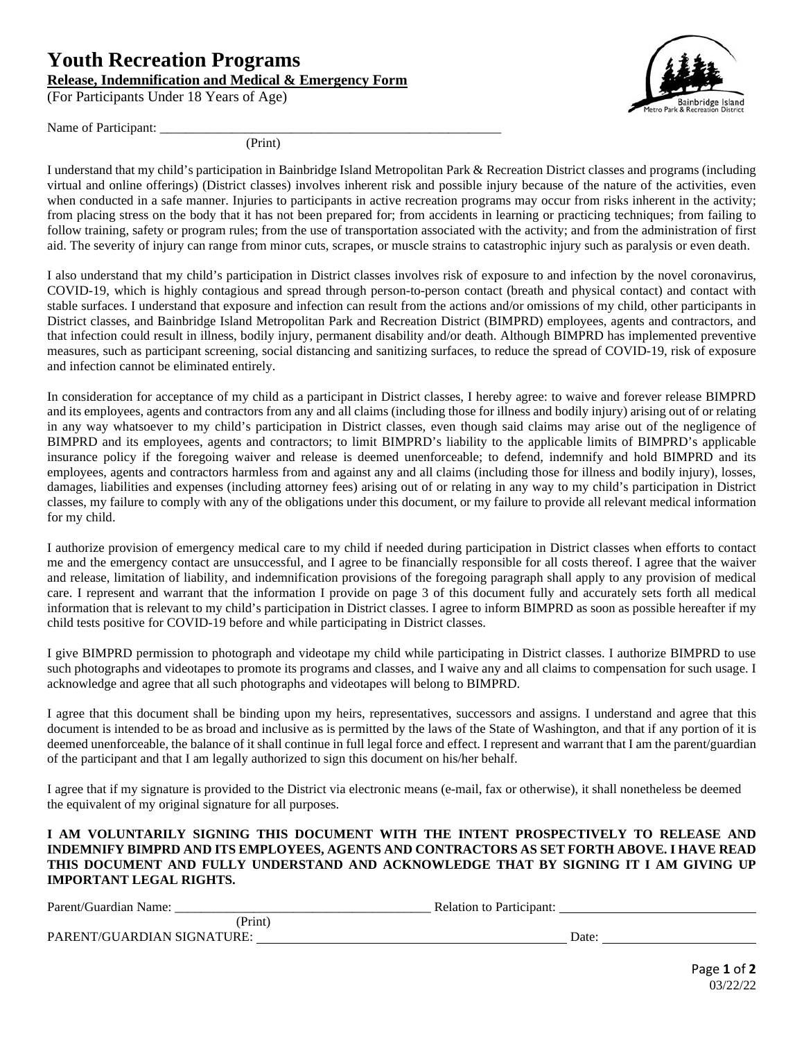## **Youth Recreation Programs Release, Indemnification and Medical & Emergency Form**

(For Participants Under 18 Years of Age)

Name of Participant:

(Print)

I understand that my child's participation in Bainbridge Island Metropolitan Park & Recreation District classes and programs (including virtual and online offerings) (District classes) involves inherent risk and possible injury because of the nature of the activities, even when conducted in a safe manner. Injuries to participants in active recreation programs may occur from risks inherent in the activity; from placing stress on the body that it has not been prepared for; from accidents in learning or practicing techniques; from failing to follow training, safety or program rules; from the use of transportation associated with the activity; and from the administration of first aid. The severity of injury can range from minor cuts, scrapes, or muscle strains to catastrophic injury such as paralysis or even death.

I also understand that my child's participation in District classes involves risk of exposure to and infection by the novel coronavirus, COVID-19, which is highly contagious and spread through person-to-person contact (breath and physical contact) and contact with stable surfaces. I understand that exposure and infection can result from the actions and/or omissions of my child, other participants in District classes, and Bainbridge Island Metropolitan Park and Recreation District (BIMPRD) employees, agents and contractors, and that infection could result in illness, bodily injury, permanent disability and/or death. Although BIMPRD has implemented preventive measures, such as participant screening, social distancing and sanitizing surfaces, to reduce the spread of COVID-19, risk of exposure and infection cannot be eliminated entirely.

In consideration for acceptance of my child as a participant in District classes, I hereby agree: to waive and forever release BIMPRD and its employees, agents and contractors from any and all claims (including those for illness and bodily injury) arising out of or relating in any way whatsoever to my child's participation in District classes, even though said claims may arise out of the negligence of BIMPRD and its employees, agents and contractors; to limit BIMPRD's liability to the applicable limits of BIMPRD's applicable insurance policy if the foregoing waiver and release is deemed unenforceable; to defend, indemnify and hold BIMPRD and its employees, agents and contractors harmless from and against any and all claims (including those for illness and bodily injury), losses, damages, liabilities and expenses (including attorney fees) arising out of or relating in any way to my child's participation in District classes, my failure to comply with any of the obligations under this document, or my failure to provide all relevant medical information for my child.

I authorize provision of emergency medical care to my child if needed during participation in District classes when efforts to contact me and the emergency contact are unsuccessful, and I agree to be financially responsible for all costs thereof. I agree that the waiver and release, limitation of liability, and indemnification provisions of the foregoing paragraph shall apply to any provision of medical care. I represent and warrant that the information I provide on page 3 of this document fully and accurately sets forth all medical information that is relevant to my child's participation in District classes. I agree to inform BIMPRD as soon as possible hereafter if my child tests positive for COVID-19 before and while participating in District classes.

I give BIMPRD permission to photograph and videotape my child while participating in District classes. I authorize BIMPRD to use such photographs and videotapes to promote its programs and classes, and I waive any and all claims to compensation for such usage. I acknowledge and agree that all such photographs and videotapes will belong to BIMPRD.

I agree that this document shall be binding upon my heirs, representatives, successors and assigns. I understand and agree that this document is intended to be as broad and inclusive as is permitted by the laws of the State of Washington, and that if any portion of it is deemed unenforceable, the balance of it shall continue in full legal force and effect. I represent and warrant that I am the parent/guardian of the participant and that I am legally authorized to sign this document on his/her behalf.

I agree that if my signature is provided to the District via electronic means (e-mail, fax or otherwise), it shall nonetheless be deemed the equivalent of my original signature for all purposes.

## **I AM VOLUNTARILY SIGNING THIS DOCUMENT WITH THE INTENT PROSPECTIVELY TO RELEASE AND INDEMNIFY BIMPRD AND ITS EMPLOYEES, AGENTS AND CONTRACTORS AS SET FORTH ABOVE. I HAVE READ THIS DOCUMENT AND FULLY UNDERSTAND AND ACKNOWLEDGE THAT BY SIGNING IT I AM GIVING UP IMPORTANT LEGAL RIGHTS.**

| Parent/Guardian Name:      | <b>Relation to Participant:</b> |  |  |
|----------------------------|---------------------------------|--|--|
| (Print)                    |                                 |  |  |
| PARENT/GUARDIAN SIGNATURE: | Date:                           |  |  |